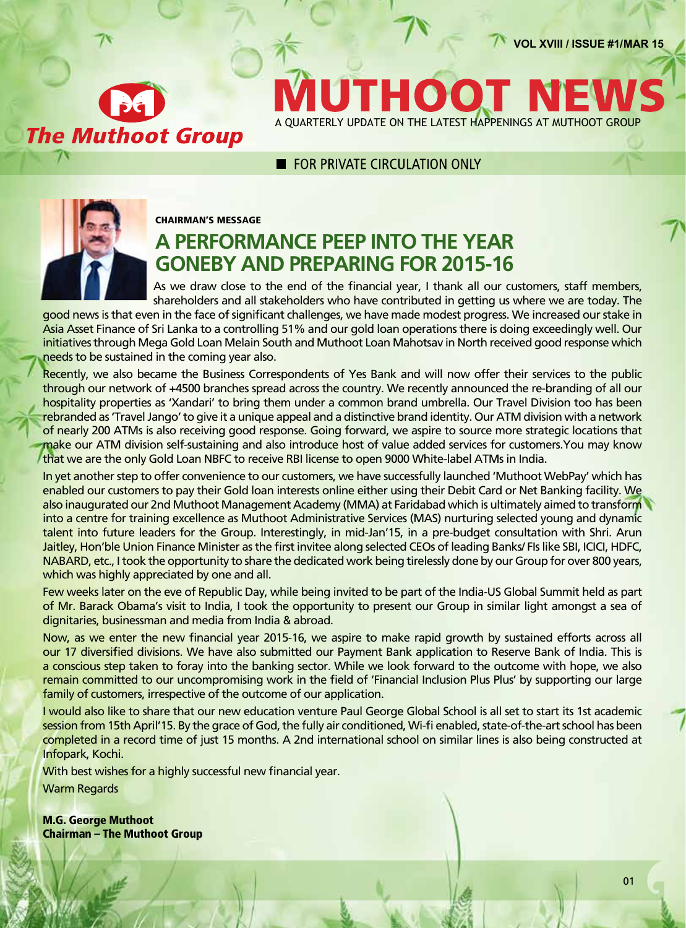**VOL XVIII / ISSUE #1/MAR 15**

**The Muthoot Group** 

1100 A QUARTERLY UPDATE ON THE LATEST HAPPENINGS AT MUTHOOT GROUP

### **E FOR PRIVATE CIRCUI ATION ONLY**



#### Chairman's Message

### **A performance peep into the year goneby and preparing for 2015-16**

As we draw close to the end of the financial year, I thank all our customers, staff members, shareholders and all stakeholders who have contributed in getting us where we are today. The

good news is that even in the face of significant challenges, we have made modest progress. We increased our stake in Asia Asset Finance of Sri Lanka to a controlling 51% and our gold loan operations there is doing exceedingly well. Our initiatives through Mega Gold Loan Melain South and Muthoot Loan Mahotsav in North received good response which needs to be sustained in the coming year also.

Recently, we also became the Business Correspondents of Yes Bank and will now offer their services to the public through our network of +4500 branches spread across the country. We recently announced the re-branding of all our hospitality properties as 'Xandari' to bring them under a common brand umbrella. Our Travel Division too has been rebranded as 'Travel Jango' to give it a unique appeal and a distinctive brand identity. Our ATM division with a network of nearly 200 ATMs is also receiving good response. Going forward, we aspire to source more strategic locations that make our ATM division self-sustaining and also introduce host of value added services for customers. You may know that we are the only Gold Loan NBFC to receive RBI license to open 9000 White-label ATMs in India.

In yet another step to offer convenience to our customers, we have successfully launched 'Muthoot WebPay' which has enabled our customers to pay their Gold loan interests online either using their Debit Card or Net Banking facility. We also inaugurated our 2nd Muthoot Management Academy (MMA) at Faridabad which is ultimately aimed to transform into a centre for training excellence as Muthoot Administrative Services (MAS) nurturing selected young and dynamic talent into future leaders for the Group. Interestingly, in mid-Jan'15, in a pre-budget consultation with Shri. Arun Jaitley, Hon'ble Union Finance Minister as the first invitee along selected CEOs of leading Banks/ FIs like SBI, ICICI, HDFC, NABARD, etc., I took the opportunity to share the dedicated work being tirelessly done by our Group for over 800 years, which was highly appreciated by one and all.

Few weeks later on the eve of Republic Day, while being invited to be part of the India-US Global Summit held as part of Mr. Barack Obama's visit to India, I took the opportunity to present our Group in similar light amongst a sea of dignitaries, businessman and media from India & abroad.

Now, as we enter the new financial year 2015-16, we aspire to make rapid growth by sustained efforts across all our 17 diversified divisions. We have also submitted our Payment Bank application to Reserve Bank of India. This is a conscious step taken to foray into the banking sector. While we look forward to the outcome with hope, we also remain committed to our uncompromising work in the field of 'Financial Inclusion Plus Plus' by supporting our large family of customers, irrespective of the outcome of our application.

I would also like to share that our new education venture Paul George Global School is all set to start its 1st academic session from 15th April'15. By the grace of God, the fully air conditioned, Wi-fi enabled, state-of-the-art school has been completed in a record time of just 15 months. A 2nd international school on similar lines is also being constructed at Infopark, Kochi.

With best wishes for a highly successful new financial year.

Warm Regards

M.G. George Muthoot Chairman – The Muthoot Group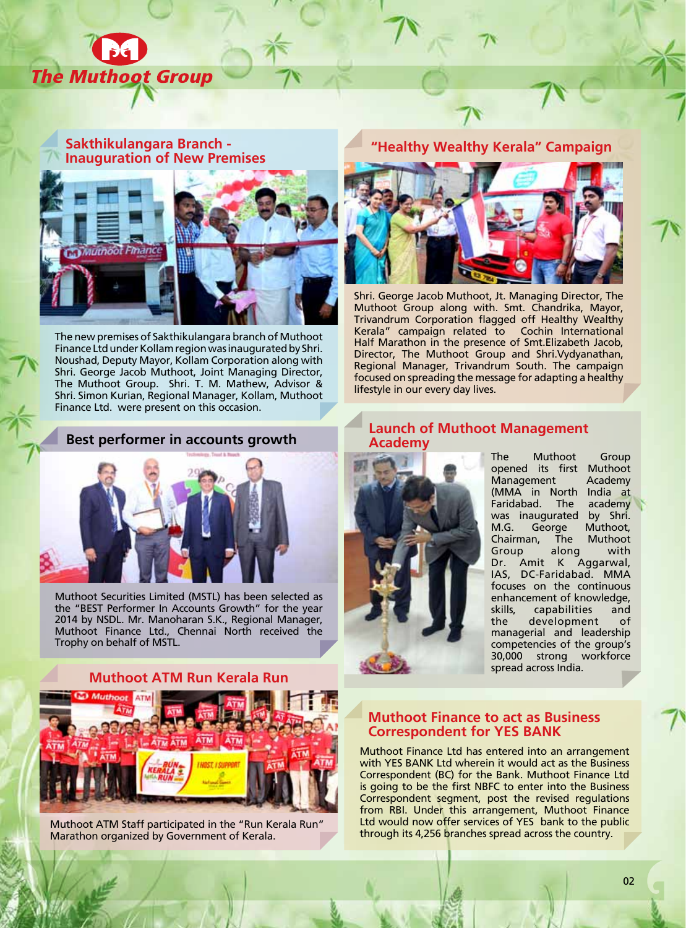

#### **Sakthikulangara Branch - Inauguration of New Premises "Healthy Wealthy Kerala" Campaign**



The new premises of Sakthikulangara branch of Muthoot Finance Ltd under Kollam region was inaugurated by Shri. Noushad, Deputy Mayor, Kollam Corporation along with Shri. George Jacob Muthoot, Joint Managing Director, The Muthoot Group. Shri. T. M. Mathew, Advisor & Shri. Simon Kurian, Regional Manager, Kollam, Muthoot Finance Ltd. were present on this occasion.

#### **Best performer in accounts growth**



Muthoot Securities Limited (MSTL) has been selected as the "BEST Performer In Accounts Growth" for the year 2014 by NSDL. Mr. Manoharan S.K., Regional Manager, Muthoot Finance Ltd., Chennai North received the Trophy on behalf of MSTL.

#### **Muthoot ATM Run Kerala Run**



Muthoot ATM Staff participated in the "Run Kerala Run" Marathon organized by Government of Kerala.



Shri. George Jacob Muthoot, Jt. Managing Director, The Muthoot Group along with. Smt. Chandrika, Mayor, Trivandrum Corporation flagged off Healthy Wealthy Kerala" campaign related to Cochin International Half Marathon in the presence of Smt.Elizabeth Jacob, Director, The Muthoot Group and Shri.Vydyanathan, Regional Manager, Trivandrum South. The campaign focused on spreading the message for adapting a healthy lifestyle in our every day lives.

#### **Launch of Muthoot Management Academy**



The Muthoot Group<br>opened its first Muthoot opened its first Muthoot Management (MMA in North India at Faridabad. The academy was inaugurated by Shri. M.G. George Muthoot,<br>Chairman. The Muthoot Chairman, The Group along with Dr. Amit K Aggarwal, IAS, DC-Faridabad. MMA focuses on the continuous enhancement of knowledge, skills, capabilities and the development of managerial and leadership competencies of the group's 30,000 strong workforce spread across India.

#### **Muthoot Finance to act as Business Correspondent for YES BANK**

Muthoot Finance Ltd has entered into an arrangement with YES BANK Ltd wherein it would act as the Business Correspondent (BC) for the Bank. Muthoot Finance Ltd is going to be the first NBFC to enter into the Business Correspondent segment, post the revised regulations from RBI. Under this arrangement, Muthoot Finance Ltd would now offer services of YES bank to the public through its 4,256 branches spread across the country.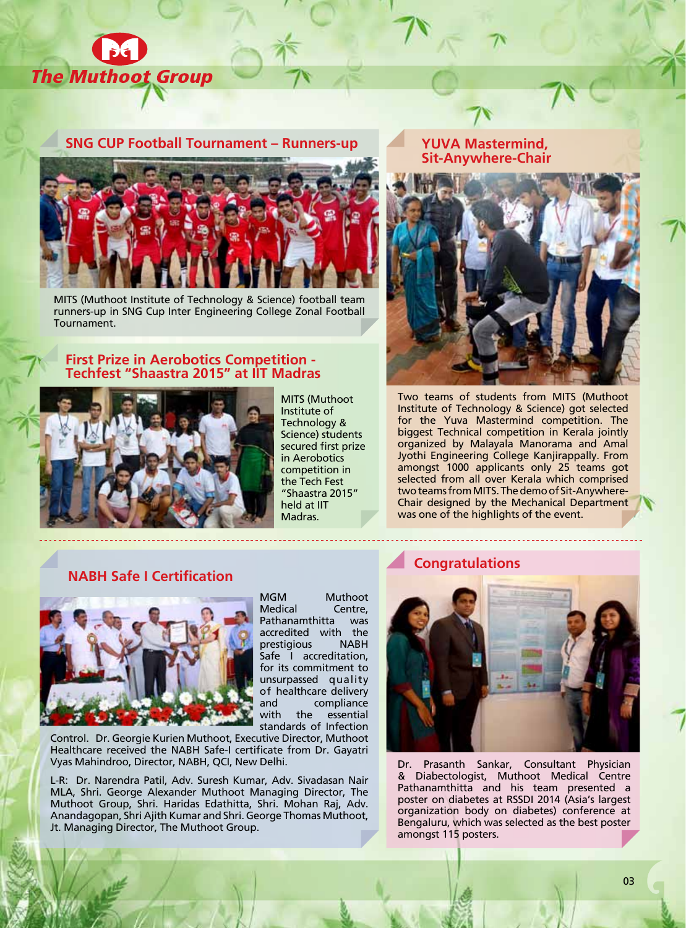

#### **SNG CUP Football Tournament – Runners-up YUVA Mastermind,**



MITS (Muthoot Institute of Technology & Science) football team runners-up in SNG Cup Inter Engineering College Zonal Football Tournament.

#### **First Prize in Aerobotics Competition - Techfest "Shaastra 2015" at IIT Madras**



MITS (Muthoot Institute of Technology & Science) students secured first prize in Aerobotics competition in the Tech Fest "Shaastra 2015" held at IIT Madras.

# **Sit-Anywhere-Chair**



Two teams of students from MITS (Muthoot Institute of Technology & Science) got selected for the Yuva Mastermind competition. The biggest Technical competition in Kerala jointly organized by Malayala Manorama and Amal Jyothi Engineering College Kanjirappally. From amongst 1000 applicants only 25 teams got selected from all over Kerala which comprised two teams from MITS. The demo of Sit-Anywhere-Chair designed by the Mechanical Department was one of the highlights of the event.

#### **NABH Safe I Certification**



MGM Muthoot Medical Centre, Pathanamthitta was accredited with the prestigious NABH Safe I accreditation, for its commitment to unsurpassed quality of healthcare delivery and compliance<br>with the essential the essential standards of Infection

Control. Dr. Georgie Kurien Muthoot, Executive Director, Muthoot Healthcare received the NABH Safe-I certificate from Dr. Gayatri Vyas Mahindroo, Director, NABH, QCI, New Delhi.

L-R: Dr. Narendra Patil, Adv. Suresh Kumar, Adv. Sivadasan Nair MLA, Shri. George Alexander Muthoot Managing Director, The Muthoot Group, Shri. Haridas Edathitta, Shri. Mohan Raj, Adv. Anandagopan, Shri Ajith Kumar and Shri. George Thomas Muthoot, Jt. Managing Director, The Muthoot Group.

#### **Congratulations**



Dr. Prasanth Sankar, Consultant Physician & Diabectologist, Muthoot Medical Centre Pathanamthitta and his team presented a poster on diabetes at RSSDI 2014 (Asia's largest organization body on diabetes) conference at Bengaluru, which was selected as the best poster amongst 115 posters.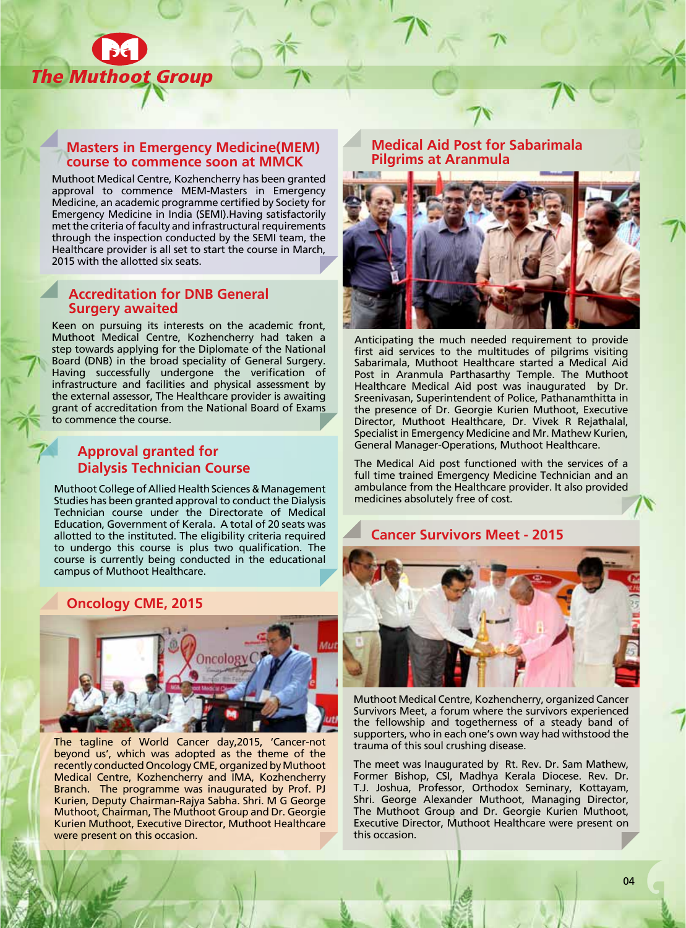

#### **Masters in Emergency Medicine(MEM) course to commence soon at MMCK**

Muthoot Medical Centre, Kozhencherry has been granted approval to commence MEM-Masters in Emergency Medicine, an academic programme certified by Society for Emergency Medicine in India (SEMI).Having satisfactorily met the criteria of faculty and infrastructural requirements through the inspection conducted by the SEMI team, the Healthcare provider is all set to start the course in March, 2015 with the allotted six seats.

#### **Accreditation for DNB General Surgery awaited**

Keen on pursuing its interests on the academic front, Muthoot Medical Centre, Kozhencherry had taken a step towards applying for the Diplomate of the National Board (DNB) in the broad speciality of General Surgery. Having successfully undergone the verification of infrastructure and facilities and physical assessment by the external assessor, The Healthcare provider is awaiting grant of accreditation from the National Board of Exams to commence the course.

### **Approval granted for Dialysis Technician Course**

Muthoot College of Allied Health Sciences & Management Studies has been granted approval to conduct the Dialysis Technician course under the Directorate of Medical Education, Government of Kerala. A total of 20 seats was allotted to the instituted. The eligibility criteria required to undergo this course is plus two qualification. The course is currently being conducted in the educational campus of Muthoot Healthcare.

### **Oncology CME, 2015**



The tagline of World Cancer day,2015, 'Cancer-not beyond us', which was adopted as the theme of the recently conducted Oncology CME, organized by Muthoot Medical Centre, Kozhencherry and IMA, Kozhencherry Branch. The programme was inaugurated by Prof. PJ Kurien, Deputy Chairman-Rajya Sabha. Shri. M G George Muthoot, Chairman, The Muthoot Group and Dr. Georgie Kurien Muthoot, Executive Director, Muthoot Healthcare were present on this occasion.

**Medical Aid Post for Sabarimala Pilgrims at Aranmula**



Anticipating the much needed requirement to provide first aid services to the multitudes of pilgrims visiting Sabarimala, Muthoot Healthcare started a Medical Aid Post in Aranmula Parthasarthy Temple. The Muthoot Healthcare Medical Aid post was inaugurated by Dr. Sreenivasan, Superintendent of Police, Pathanamthitta in the presence of Dr. Georgie Kurien Muthoot, Executive Director, Muthoot Healthcare, Dr. Vivek R Rejathalal, Specialist in Emergency Medicine and Mr. Mathew Kurien, General Manager-Operations, Muthoot Healthcare.

The Medical Aid post functioned with the services of a full time trained Emergency Medicine Technician and an ambulance from the Healthcare provider. It also provided medicines absolutely free of cost.



Muthoot Medical Centre, Kozhencherry, organized Cancer Survivors Meet, a forum where the survivors experienced the fellowship and togetherness of a steady band of supporters, who in each one's own way had withstood the trauma of this soul crushing disease.

The meet was Inaugurated by Rt. Rev. Dr. Sam Mathew, Former Bishop, CSI, Madhya Kerala Diocese. Rev. Dr. T.J. Joshua, Professor, Orthodox Seminary, Kottayam, Shri. George Alexander Muthoot, Managing Director, The Muthoot Group and Dr. Georgie Kurien Muthoot, Executive Director, Muthoot Healthcare were present on this occasion.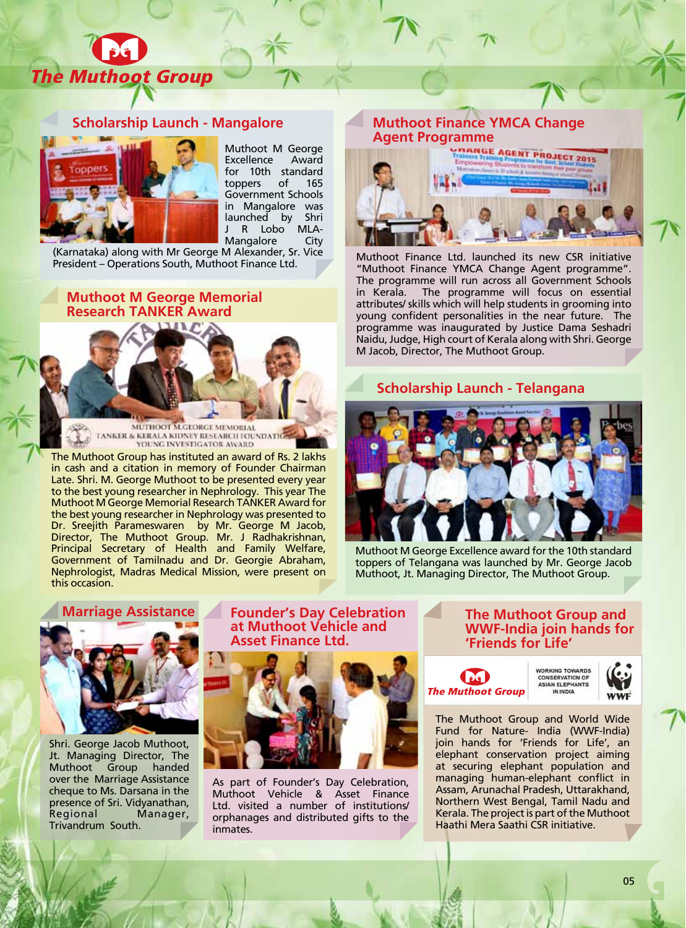

#### **Scholarship Launch - Mangalore**



Muthoot M George Excellence Award for 10th standard<br>toppers of 165 toppers of 165 Government Schools in Mangalore was launched by Shri<br>J R Lobo MLA-J R Lobo Mangalore City

(Karnataka) along with Mr George M Alexander, Sr. Vice President – Operations South, Muthoot Finance Ltd.

## **Muthoot M George Memorial**



The Muthoot Group has instituted an award of Rs. 2 lakhs in cash and a citation in memory of Founder Chairman Late. Shri. M. George Muthoot to be presented every year to the best young researcher in Nephrology. This year The Muthoot M George Memorial Research TANKER Award for the best young researcher in Nephrology was presented to Dr. Sreejith Parameswaren by Mr. George M Jacob, Director, The Muthoot Group. Mr. J Radhakrishnan, Principal Secretary of Health and Family Welfare, Government of Tamilnadu and Dr. Georgie Abraham, Nephrologist, Madras Medical Mission, were present on this occasion.

# **Muthoot Finance YMCA Change**



Muthoot Finance Ltd. launched its new CSR initiative "Muthoot Finance YMCA Change Agent programme". The programme will run across all Government Schools in Kerala. The programme will focus on essential attributes/ skills which will help students in grooming into young confident personalities in the near future. The programme was inaugurated by Justice Dama Seshadri Naidu, Judge, High court of Kerala along with Shri. George M Jacob, Director, The Muthoot Group.

#### **Scholarship Launch - Telangana**



Muthoot M George Excellence award for the 10th standard toppers of Telangana was launched by Mr. George Jacob Muthoot, Jt. Managing Director, The Muthoot Group.



Shri. George Jacob Muthoot, Jt. Managing Director, The Muthoot Group over the Marriage Assistance cheque to Ms. Darsana in the presence of Sri. Vidyanathan,<br>Regional Manager, Manager, Trivandrum South.

**Marriage Assistance Founder's Day Celebration at Muthoot Vehicle and Asset Finance Ltd.**



As part of Founder's Day Celebration, Muthoot Vehicle & Asset Finance Ltd. visited a number of institutions/ orphanages and distributed gifts to the inmates.

**The Muthoot Group and WWF-India join hands for 'Friends for Life'**





The Muthoot Group and World Wide Fund for Nature- India (WWF-India) join hands for 'Friends for Life', an elephant conservation project aiming at securing elephant population and managing human-elephant conflict in Assam, Arunachal Pradesh, Uttarakhand, Northern West Bengal, Tamil Nadu and Kerala. The project is part of the Muthoot Haathi Mera Saathi CSR initiative.